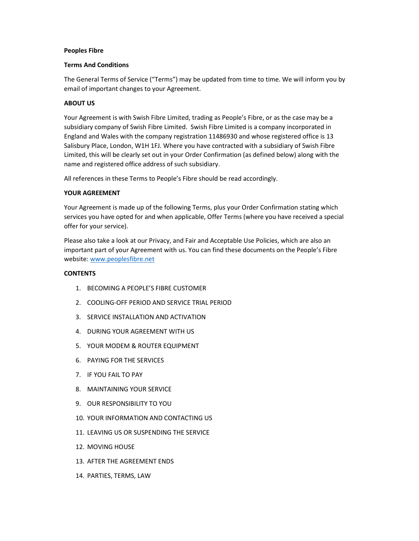#### Peoples Fibre

#### Terms And Conditions

The General Terms of Service ("Terms") may be updated from time to time. We will inform you by email of important changes to your Agreement.

## ABOUT US

Your Agreement is with Swish Fibre Limited, trading as People's Fibre, or as the case may be a subsidiary company of Swish Fibre Limited. Swish Fibre Limited is a company incorporated in England and Wales with the company registration 11486930 and whose registered office is 13 Salisbury Place, London, W1H 1FJ. Where you have contracted with a subsidiary of Swish Fibre Limited, this will be clearly set out in your Order Confirmation (as defined below) along with the name and registered office address of such subsidiary.

All references in these Terms to People's Fibre should be read accordingly.

## YOUR AGREEMENT

Your Agreement is made up of the following Terms, plus your Order Confirmation stating which services you have opted for and when applicable, Offer Terms (where you have received a special offer for your service).

Please also take a look at our Privacy, and Fair and Acceptable Use Policies, which are also an important part of your Agreement with us. You can find these documents on the People's Fibre website: www.peoplesfibre.net

## **CONTENTS**

- 1. BECOMING A PEOPLE'S FIBRE CUSTOMER
- 2. COOLING-OFF PERIOD AND SERVICE TRIAL PERIOD
- 3. SERVICE INSTALLATION AND ACTIVATION
- 4. DURING YOUR AGREEMENT WITH US
- 5. YOUR MODEM & ROUTER EQUIPMENT
- 6. PAYING FOR THE SERVICES
- 7. IF YOU FAIL TO PAY
- 8. MAINTAINING YOUR SERVICE
- 9. OUR RESPONSIBILITY TO YOU
- 10. YOUR INFORMATION AND CONTACTING US
- 11. LEAVING US OR SUSPENDING THE SERVICE
- 12. MOVING HOUSE
- 13. AFTER THE AGREEMENT ENDS
- 14. PARTIES, TERMS, LAW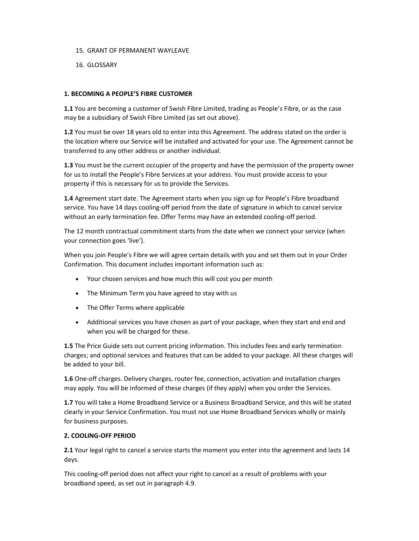- 15. GRANT OF PERMANENT WAYLEAVE
- 16. GLOSSARY

## 1. BECOMING A PEOPLE'S FIBRE CUSTOMER

1.1 You are becoming a customer of Swish Fibre Limited, trading as People's Fibre, or as the case may be a subsidiary of Swish Fibre Limited (as set out above).

1.2 You must be over 18 years old to enter into this Agreement. The address stated on the order is the location where our Service will be installed and activated for your use. The Agreement cannot be transferred to any other address or another individual.

1.3 You must be the current occupier of the property and have the permission of the property owner for us to install the People's Fibre Services at your address. You must provide access to your property if this is necessary for us to provide the Services.

1.4 Agreement start date. The Agreement starts when you sign up for People's Fibre broadband service. You have 14 days cooling-off period from the date of signature in which to cancel service without an early termination fee. Offer Terms may have an extended cooling-off period.

The 12 month contractual commitment starts from the date when we connect your service (when your connection goes 'live').

When you join People's Fibre we will agree certain details with you and set them out in your Order Confirmation. This document includes important information such as:

- Your chosen services and how much this will cost you per month
- The Minimum Term you have agreed to stay with us
- The Offer Terms where applicable
- Additional services you have chosen as part of your package, when they start and end and when you will be charged for these.

1.5 The Price Guide sets out current pricing information. This includes fees and early termination charges; and optional services and features that can be added to your package. All these charges will be added to your bill.

1.6 One-off charges. Delivery charges, router fee, connection, activation and installation charges may apply. You will be informed of these charges (if they apply) when you order the Services.

1.7 You will take a Home Broadband Service or a Business Broadband Service, and this will be stated clearly in your Service Confirmation. You must not use Home Broadband Services wholly or mainly for business purposes.

# 2. COOLING-OFF PERIOD

2.1 Your legal right to cancel a service starts the moment you enter into the agreement and lasts 14 days.

This cooling-off period does not affect your right to cancel as a result of problems with your broadband speed, as set out in paragraph 4.9.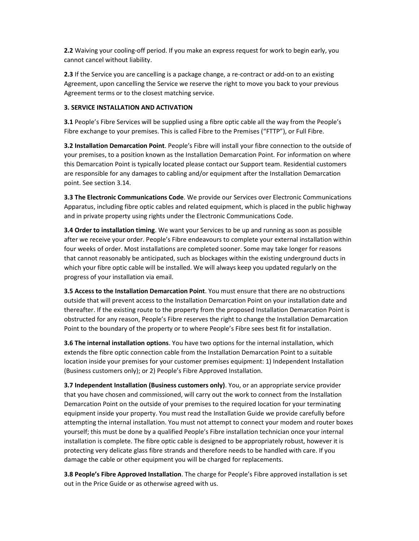2.2 Waiving your cooling-off period. If you make an express request for work to begin early, you cannot cancel without liability.

2.3 If the Service you are cancelling is a package change, a re-contract or add-on to an existing Agreement, upon cancelling the Service we reserve the right to move you back to your previous Agreement terms or to the closest matching service.

# 3. SERVICE INSTALLATION AND ACTIVATION

**3.1** People's Fibre Services will be supplied using a fibre optic cable all the way from the People's Fibre exchange to your premises. This is called Fibre to the Premises ("FTTP"), or Full Fibre.

3.2 Installation Demarcation Point. People's Fibre will install your fibre connection to the outside of your premises, to a position known as the Installation Demarcation Point. For information on where this Demarcation Point is typically located please contact our Support team. Residential customers are responsible for any damages to cabling and/or equipment after the Installation Demarcation point. See section 3.14.

3.3 The Electronic Communications Code. We provide our Services over Electronic Communications Apparatus, including fibre optic cables and related equipment, which is placed in the public highway and in private property using rights under the Electronic Communications Code.

**3.4 Order to installation timing**. We want your Services to be up and running as soon as possible after we receive your order. People's Fibre endeavours to complete your external installation within four weeks of order. Most installations are completed sooner. Some may take longer for reasons that cannot reasonably be anticipated, such as blockages within the existing underground ducts in which your fibre optic cable will be installed. We will always keep you updated regularly on the progress of your installation via email.

3.5 Access to the Installation Demarcation Point. You must ensure that there are no obstructions outside that will prevent access to the Installation Demarcation Point on your installation date and thereafter. If the existing route to the property from the proposed Installation Demarcation Point is obstructed for any reason, People's Fibre reserves the right to change the Installation Demarcation Point to the boundary of the property or to where People's Fibre sees best fit for installation.

3.6 The internal installation options. You have two options for the internal installation, which extends the fibre optic connection cable from the Installation Demarcation Point to a suitable location inside your premises for your customer premises equipment: 1) Independent Installation (Business customers only); or 2) People's Fibre Approved Installation.

3.7 Independent Installation (Business customers only). You, or an appropriate service provider that you have chosen and commissioned, will carry out the work to connect from the Installation Demarcation Point on the outside of your premises to the required location for your terminating equipment inside your property. You must read the Installation Guide we provide carefully before attempting the internal installation. You must not attempt to connect your modem and router boxes yourself; this must be done by a qualified People's Fibre installation technician once your internal installation is complete. The fibre optic cable is designed to be appropriately robust, however it is protecting very delicate glass fibre strands and therefore needs to be handled with care. If you damage the cable or other equipment you will be charged for replacements.

3.8 People's Fibre Approved Installation. The charge for People's Fibre approved installation is set out in the Price Guide or as otherwise agreed with us.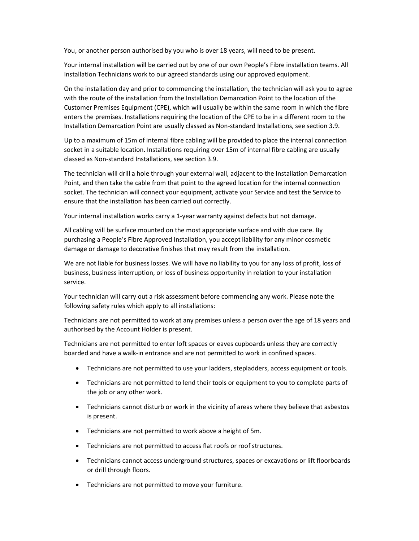You, or another person authorised by you who is over 18 years, will need to be present.

Your internal installation will be carried out by one of our own People's Fibre installation teams. All Installation Technicians work to our agreed standards using our approved equipment.

On the installation day and prior to commencing the installation, the technician will ask you to agree with the route of the installation from the Installation Demarcation Point to the location of the Customer Premises Equipment (CPE), which will usually be within the same room in which the fibre enters the premises. Installations requiring the location of the CPE to be in a different room to the Installation Demarcation Point are usually classed as Non-standard Installations, see section 3.9.

Up to a maximum of 15m of internal fibre cabling will be provided to place the internal connection socket in a suitable location. Installations requiring over 15m of internal fibre cabling are usually classed as Non-standard Installations, see section 3.9.

The technician will drill a hole through your external wall, adjacent to the Installation Demarcation Point, and then take the cable from that point to the agreed location for the internal connection socket. The technician will connect your equipment, activate your Service and test the Service to ensure that the installation has been carried out correctly.

Your internal installation works carry a 1-year warranty against defects but not damage.

All cabling will be surface mounted on the most appropriate surface and with due care. By purchasing a People's Fibre Approved Installation, you accept liability for any minor cosmetic damage or damage to decorative finishes that may result from the installation.

We are not liable for business losses. We will have no liability to you for any loss of profit, loss of business, business interruption, or loss of business opportunity in relation to your installation service.

Your technician will carry out a risk assessment before commencing any work. Please note the following safety rules which apply to all installations:

Technicians are not permitted to work at any premises unless a person over the age of 18 years and authorised by the Account Holder is present.

Technicians are not permitted to enter loft spaces or eaves cupboards unless they are correctly boarded and have a walk-in entrance and are not permitted to work in confined spaces.

- Technicians are not permitted to use your ladders, stepladders, access equipment or tools.
- Technicians are not permitted to lend their tools or equipment to you to complete parts of the job or any other work.
- Technicians cannot disturb or work in the vicinity of areas where they believe that asbestos is present.
- Technicians are not permitted to work above a height of 5m.
- Technicians are not permitted to access flat roofs or roof structures.
- Technicians cannot access underground structures, spaces or excavations or lift floorboards or drill through floors.
- Technicians are not permitted to move your furniture.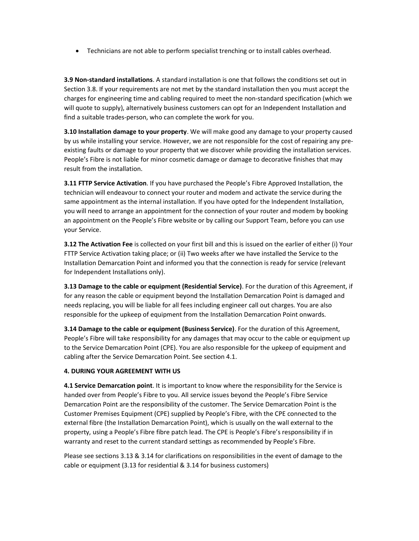Technicians are not able to perform specialist trenching or to install cables overhead.

3.9 Non-standard installations. A standard installation is one that follows the conditions set out in Section 3.8. If your requirements are not met by the standard installation then you must accept the charges for engineering time and cabling required to meet the non-standard specification (which we will quote to supply), alternatively business customers can opt for an Independent Installation and find a suitable trades-person, who can complete the work for you.

3.10 Installation damage to your property. We will make good any damage to your property caused by us while installing your service. However, we are not responsible for the cost of repairing any preexisting faults or damage to your property that we discover while providing the installation services. People's Fibre is not liable for minor cosmetic damage or damage to decorative finishes that may result from the installation.

3.11 FTTP Service Activation. If you have purchased the People's Fibre Approved Installation, the technician will endeavour to connect your router and modem and activate the service during the same appointment as the internal installation. If you have opted for the Independent Installation, you will need to arrange an appointment for the connection of your router and modem by booking an appointment on the People's Fibre website or by calling our Support Team, before you can use your Service.

3.12 The Activation Fee is collected on your first bill and this is issued on the earlier of either (i) Your FTTP Service Activation taking place; or (ii) Two weeks after we have installed the Service to the Installation Demarcation Point and informed you that the connection is ready for service (relevant for Independent Installations only).

3.13 Damage to the cable or equipment (Residential Service). For the duration of this Agreement, if for any reason the cable or equipment beyond the Installation Demarcation Point is damaged and needs replacing, you will be liable for all fees including engineer call out charges. You are also responsible for the upkeep of equipment from the Installation Demarcation Point onwards.

3.14 Damage to the cable or equipment (Business Service). For the duration of this Agreement, People's Fibre will take responsibility for any damages that may occur to the cable or equipment up to the Service Demarcation Point (CPE). You are also responsible for the upkeep of equipment and cabling after the Service Demarcation Point. See section 4.1.

## 4. DURING YOUR AGREEMENT WITH US

4.1 Service Demarcation point. It is important to know where the responsibility for the Service is handed over from People's Fibre to you. All service issues beyond the People's Fibre Service Demarcation Point are the responsibility of the customer. The Service Demarcation Point is the Customer Premises Equipment (CPE) supplied by People's Fibre, with the CPE connected to the external fibre (the Installation Demarcation Point), which is usually on the wall external to the property, using a People's Fibre fibre patch lead. The CPE is People's Fibre's responsibility if in warranty and reset to the current standard settings as recommended by People's Fibre.

Please see sections 3.13 & 3.14 for clarifications on responsibilities in the event of damage to the cable or equipment (3.13 for residential & 3.14 for business customers)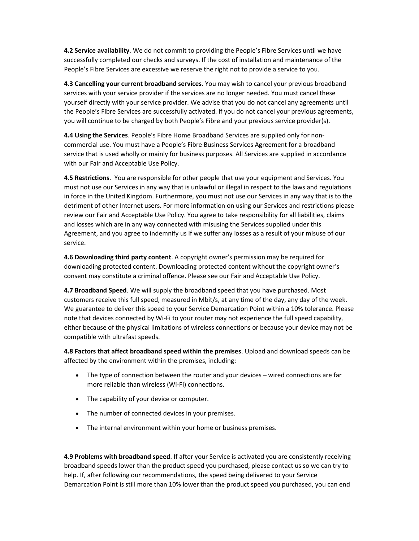4.2 Service availability. We do not commit to providing the People's Fibre Services until we have successfully completed our checks and surveys. If the cost of installation and maintenance of the People's Fibre Services are excessive we reserve the right not to provide a service to you.

4.3 Cancelling your current broadband services. You may wish to cancel your previous broadband services with your service provider if the services are no longer needed. You must cancel these yourself directly with your service provider. We advise that you do not cancel any agreements until the People's Fibre Services are successfully activated. If you do not cancel your previous agreements, you will continue to be charged by both People's Fibre and your previous service provider(s).

4.4 Using the Services. People's Fibre Home Broadband Services are supplied only for noncommercial use. You must have a People's Fibre Business Services Agreement for a broadband service that is used wholly or mainly for business purposes. All Services are supplied in accordance with our Fair and Acceptable Use Policy.

4.5 Restrictions. You are responsible for other people that use your equipment and Services. You must not use our Services in any way that is unlawful or illegal in respect to the laws and regulations in force in the United Kingdom. Furthermore, you must not use our Services in any way that is to the detriment of other Internet users. For more information on using our Services and restrictions please review our Fair and Acceptable Use Policy. You agree to take responsibility for all liabilities, claims and losses which are in any way connected with misusing the Services supplied under this Agreement, and you agree to indemnify us if we suffer any losses as a result of your misuse of our service.

4.6 Downloading third party content. A copyright owner's permission may be required for downloading protected content. Downloading protected content without the copyright owner's consent may constitute a criminal offence. Please see our Fair and Acceptable Use Policy.

4.7 Broadband Speed. We will supply the broadband speed that you have purchased. Most customers receive this full speed, measured in Mbit/s, at any time of the day, any day of the week. We guarantee to deliver this speed to your Service Demarcation Point within a 10% tolerance. Please note that devices connected by Wi-Fi to your router may not experience the full speed capability, either because of the physical limitations of wireless connections or because your device may not be compatible with ultrafast speeds.

4.8 Factors that affect broadband speed within the premises. Upload and download speeds can be affected by the environment within the premises, including:

- The type of connection between the router and your devices wired connections are far more reliable than wireless (Wi-Fi) connections.
- The capability of your device or computer.
- The number of connected devices in your premises.
- The internal environment within your home or business premises.

4.9 Problems with broadband speed. If after your Service is activated you are consistently receiving broadband speeds lower than the product speed you purchased, please contact us so we can try to help. If, after following our recommendations, the speed being delivered to your Service Demarcation Point is still more than 10% lower than the product speed you purchased, you can end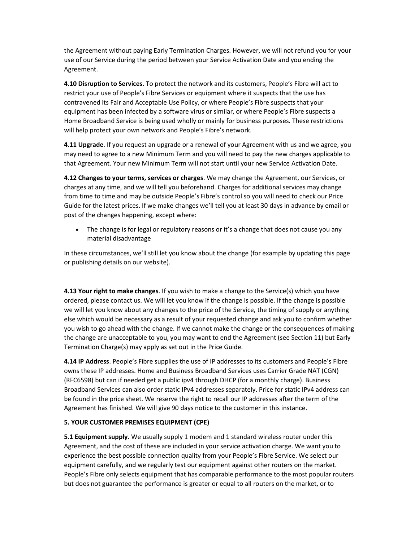the Agreement without paying Early Termination Charges. However, we will not refund you for your use of our Service during the period between your Service Activation Date and you ending the Agreement.

4.10 Disruption to Services. To protect the network and its customers, People's Fibre will act to restrict your use of People's Fibre Services or equipment where it suspects that the use has contravened its Fair and Acceptable Use Policy, or where People's Fibre suspects that your equipment has been infected by a software virus or similar, or where People's Fibre suspects a Home Broadband Service is being used wholly or mainly for business purposes. These restrictions will help protect your own network and People's Fibre's network.

4.11 Upgrade. If you request an upgrade or a renewal of your Agreement with us and we agree, you may need to agree to a new Minimum Term and you will need to pay the new charges applicable to that Agreement. Your new Minimum Term will not start until your new Service Activation Date.

4.12 Changes to your terms, services or charges. We may change the Agreement, our Services, or charges at any time, and we will tell you beforehand. Charges for additional services may change from time to time and may be outside People's Fibre's control so you will need to check our Price Guide for the latest prices. If we make changes we'll tell you at least 30 days in advance by email or post of the changes happening, except where:

• The change is for legal or regulatory reasons or it's a change that does not cause you any material disadvantage

In these circumstances, we'll still let you know about the change (for example by updating this page or publishing details on our website).

4.13 Your right to make changes. If you wish to make a change to the Service(s) which you have ordered, please contact us. We will let you know if the change is possible. If the change is possible we will let you know about any changes to the price of the Service, the timing of supply or anything else which would be necessary as a result of your requested change and ask you to confirm whether you wish to go ahead with the change. If we cannot make the change or the consequences of making the change are unacceptable to you, you may want to end the Agreement (see Section 11) but Early Termination Charge(s) may apply as set out in the Price Guide.

4.14 IP Address. People's Fibre supplies the use of IP addresses to its customers and People's Fibre owns these IP addresses. Home and Business Broadband Services uses Carrier Grade NAT (CGN) (RFC6598) but can if needed get a public ipv4 through DHCP (for a monthly charge). Business Broadband Services can also order static IPv4 addresses separately. Price for static IPv4 address can be found in the price sheet. We reserve the right to recall our IP addresses after the term of the Agreement has finished. We will give 90 days notice to the customer in this instance.

## 5. YOUR CUSTOMER PREMISES EQUIPMENT (CPE)

5.1 Equipment supply. We usually supply 1 modem and 1 standard wireless router under this Agreement, and the cost of these are included in your service activation charge. We want you to experience the best possible connection quality from your People's Fibre Service. We select our equipment carefully, and we regularly test our equipment against other routers on the market. People's Fibre only selects equipment that has comparable performance to the most popular routers but does not guarantee the performance is greater or equal to all routers on the market, or to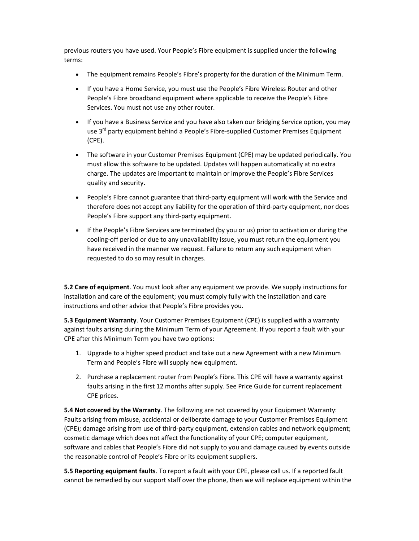previous routers you have used. Your People's Fibre equipment is supplied under the following terms:

- The equipment remains People's Fibre's property for the duration of the Minimum Term.
- If you have a Home Service, you must use the People's Fibre Wireless Router and other People's Fibre broadband equipment where applicable to receive the People's Fibre Services. You must not use any other router.
- If you have a Business Service and you have also taken our Bridging Service option, you may use 3<sup>rd</sup> party equipment behind a People's Fibre-supplied Customer Premises Equipment (CPE).
- The software in your Customer Premises Equipment (CPE) may be updated periodically. You must allow this software to be updated. Updates will happen automatically at no extra charge. The updates are important to maintain or improve the People's Fibre Services quality and security.
- People's Fibre cannot guarantee that third-party equipment will work with the Service and therefore does not accept any liability for the operation of third-party equipment, nor does People's Fibre support any third-party equipment.
- If the People's Fibre Services are terminated (by you or us) prior to activation or during the cooling-off period or due to any unavailability issue, you must return the equipment you have received in the manner we request. Failure to return any such equipment when requested to do so may result in charges.

**5.2 Care of equipment**. You must look after any equipment we provide. We supply instructions for installation and care of the equipment; you must comply fully with the installation and care instructions and other advice that People's Fibre provides you.

5.3 Equipment Warranty. Your Customer Premises Equipment (CPE) is supplied with a warranty against faults arising during the Minimum Term of your Agreement. If you report a fault with your CPE after this Minimum Term you have two options:

- 1. Upgrade to a higher speed product and take out a new Agreement with a new Minimum Term and People's Fibre will supply new equipment.
- 2. Purchase a replacement router from People's Fibre. This CPE will have a warranty against faults arising in the first 12 months after supply. See Price Guide for current replacement CPE prices.

5.4 Not covered by the Warranty. The following are not covered by your Equipment Warranty: Faults arising from misuse, accidental or deliberate damage to your Customer Premises Equipment (CPE); damage arising from use of third-party equipment, extension cables and network equipment; cosmetic damage which does not affect the functionality of your CPE; computer equipment, software and cables that People's Fibre did not supply to you and damage caused by events outside the reasonable control of People's Fibre or its equipment suppliers.

5.5 Reporting equipment faults. To report a fault with your CPE, please call us. If a reported fault cannot be remedied by our support staff over the phone, then we will replace equipment within the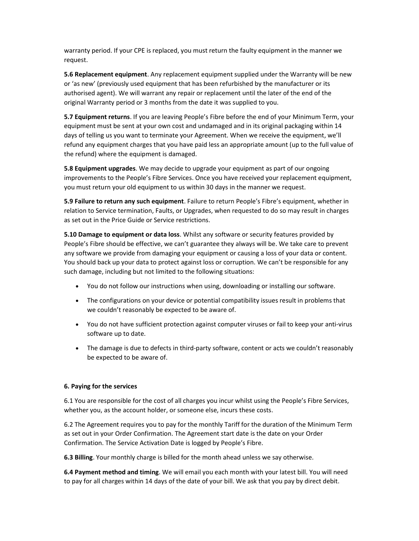warranty period. If your CPE is replaced, you must return the faulty equipment in the manner we request.

5.6 Replacement equipment. Any replacement equipment supplied under the Warranty will be new or 'as new' (previously used equipment that has been refurbished by the manufacturer or its authorised agent). We will warrant any repair or replacement until the later of the end of the original Warranty period or 3 months from the date it was supplied to you.

5.7 Equipment returns. If you are leaving People's Fibre before the end of your Minimum Term, your equipment must be sent at your own cost and undamaged and in its original packaging within 14 days of telling us you want to terminate your Agreement. When we receive the equipment, we'll refund any equipment charges that you have paid less an appropriate amount (up to the full value of the refund) where the equipment is damaged.

5.8 Equipment upgrades. We may decide to upgrade your equipment as part of our ongoing improvements to the People's Fibre Services. Once you have received your replacement equipment, you must return your old equipment to us within 30 days in the manner we request.

5.9 Failure to return any such equipment. Failure to return People's Fibre's equipment, whether in relation to Service termination, Faults, or Upgrades, when requested to do so may result in charges as set out in the Price Guide or Service restrictions.

5.10 Damage to equipment or data loss. Whilst any software or security features provided by People's Fibre should be effective, we can't guarantee they always will be. We take care to prevent any software we provide from damaging your equipment or causing a loss of your data or content. You should back up your data to protect against loss or corruption. We can't be responsible for any such damage, including but not limited to the following situations:

- You do not follow our instructions when using, downloading or installing our software.
- The configurations on your device or potential compatibility issues result in problems that we couldn't reasonably be expected to be aware of.
- You do not have sufficient protection against computer viruses or fail to keep your anti-virus software up to date.
- The damage is due to defects in third-party software, content or acts we couldn't reasonably be expected to be aware of.

## 6. Paying for the services

6.1 You are responsible for the cost of all charges you incur whilst using the People's Fibre Services, whether you, as the account holder, or someone else, incurs these costs.

6.2 The Agreement requires you to pay for the monthly Tariff for the duration of the Minimum Term as set out in your Order Confirmation. The Agreement start date is the date on your Order Confirmation. The Service Activation Date is logged by People's Fibre.

6.3 Billing. Your monthly charge is billed for the month ahead unless we say otherwise.

6.4 Payment method and timing. We will email you each month with your latest bill. You will need to pay for all charges within 14 days of the date of your bill. We ask that you pay by direct debit.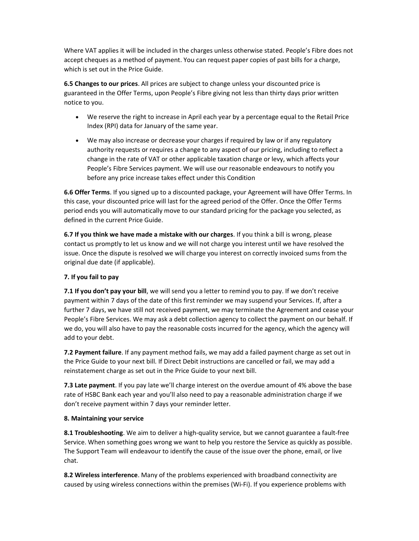Where VAT applies it will be included in the charges unless otherwise stated. People's Fibre does not accept cheques as a method of payment. You can request paper copies of past bills for a charge, which is set out in the Price Guide.

6.5 Changes to our prices. All prices are subject to change unless your discounted price is guaranteed in the Offer Terms, upon People's Fibre giving not less than thirty days prior written notice to you.

- We reserve the right to increase in April each year by a percentage equal to the Retail Price Index (RPI) data for January of the same year.
- We may also increase or decrease your charges if required by law or if any regulatory authority requests or requires a change to any aspect of our pricing, including to reflect a change in the rate of VAT or other applicable taxation charge or levy, which affects your People's Fibre Services payment. We will use our reasonable endeavours to notify you before any price increase takes effect under this Condition

6.6 Offer Terms. If you signed up to a discounted package, your Agreement will have Offer Terms. In this case, your discounted price will last for the agreed period of the Offer. Once the Offer Terms period ends you will automatically move to our standard pricing for the package you selected, as defined in the current Price Guide.

6.7 If you think we have made a mistake with our charges. If you think a bill is wrong, please contact us promptly to let us know and we will not charge you interest until we have resolved the issue. Once the dispute is resolved we will charge you interest on correctly invoiced sums from the original due date (if applicable).

## 7. If you fail to pay

7.1 If you don't pay your bill, we will send you a letter to remind you to pay. If we don't receive payment within 7 days of the date of this first reminder we may suspend your Services. If, after a further 7 days, we have still not received payment, we may terminate the Agreement and cease your People's Fibre Services. We may ask a debt collection agency to collect the payment on our behalf. If we do, you will also have to pay the reasonable costs incurred for the agency, which the agency will add to your debt.

7.2 Payment failure. If any payment method fails, we may add a failed payment charge as set out in the Price Guide to your next bill. If Direct Debit instructions are cancelled or fail, we may add a reinstatement charge as set out in the Price Guide to your next bill.

**7.3 Late payment**. If you pay late we'll charge interest on the overdue amount of 4% above the base rate of HSBC Bank each year and you'll also need to pay a reasonable administration charge if we don't receive payment within 7 days your reminder letter.

## 8. Maintaining your service

8.1 Troubleshooting. We aim to deliver a high-quality service, but we cannot guarantee a fault-free Service. When something goes wrong we want to help you restore the Service as quickly as possible. The Support Team will endeavour to identify the cause of the issue over the phone, email, or live chat.

8.2 Wireless interference. Many of the problems experienced with broadband connectivity are caused by using wireless connections within the premises (Wi-Fi). If you experience problems with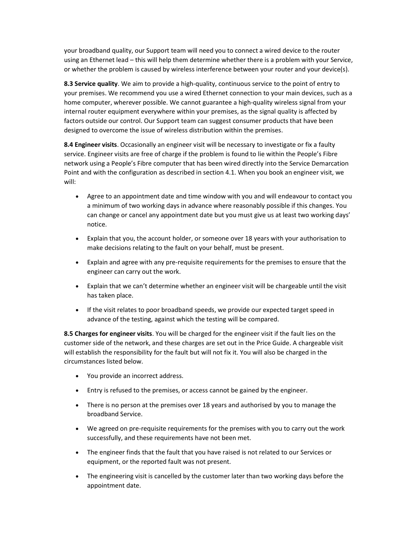your broadband quality, our Support team will need you to connect a wired device to the router using an Ethernet lead – this will help them determine whether there is a problem with your Service, or whether the problem is caused by wireless interference between your router and your device(s).

8.3 Service quality. We aim to provide a high-quality, continuous service to the point of entry to your premises. We recommend you use a wired Ethernet connection to your main devices, such as a home computer, wherever possible. We cannot guarantee a high-quality wireless signal from your internal router equipment everywhere within your premises, as the signal quality is affected by factors outside our control. Our Support team can suggest consumer products that have been designed to overcome the issue of wireless distribution within the premises.

8.4 Engineer visits. Occasionally an engineer visit will be necessary to investigate or fix a faulty service. Engineer visits are free of charge if the problem is found to lie within the People's Fibre network using a People's Fibre computer that has been wired directly into the Service Demarcation Point and with the configuration as described in section 4.1. When you book an engineer visit, we will:

- Agree to an appointment date and time window with you and will endeavour to contact you a minimum of two working days in advance where reasonably possible if this changes. You can change or cancel any appointment date but you must give us at least two working days' notice.
- Explain that you, the account holder, or someone over 18 years with your authorisation to make decisions relating to the fault on your behalf, must be present.
- Explain and agree with any pre-requisite requirements for the premises to ensure that the engineer can carry out the work.
- Explain that we can't determine whether an engineer visit will be chargeable until the visit has taken place.
- If the visit relates to poor broadband speeds, we provide our expected target speed in advance of the testing, against which the testing will be compared.

8.5 Charges for engineer visits. You will be charged for the engineer visit if the fault lies on the customer side of the network, and these charges are set out in the Price Guide. A chargeable visit will establish the responsibility for the fault but will not fix it. You will also be charged in the circumstances listed below.

- You provide an incorrect address.
- Entry is refused to the premises, or access cannot be gained by the engineer.
- There is no person at the premises over 18 years and authorised by you to manage the broadband Service.
- We agreed on pre-requisite requirements for the premises with you to carry out the work successfully, and these requirements have not been met.
- The engineer finds that the fault that you have raised is not related to our Services or equipment, or the reported fault was not present.
- The engineering visit is cancelled by the customer later than two working days before the appointment date.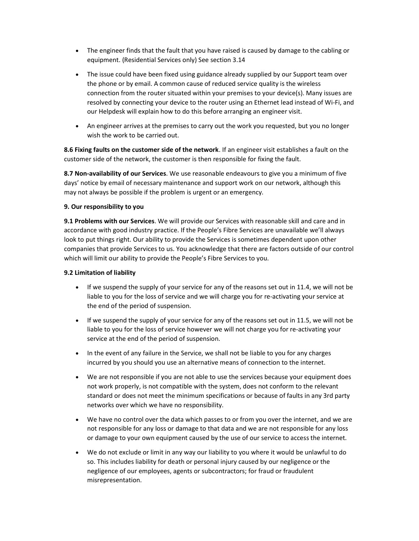- The engineer finds that the fault that you have raised is caused by damage to the cabling or equipment. (Residential Services only) See section 3.14
- The issue could have been fixed using guidance already supplied by our Support team over the phone or by email. A common cause of reduced service quality is the wireless connection from the router situated within your premises to your device(s). Many issues are resolved by connecting your device to the router using an Ethernet lead instead of Wi-Fi, and our Helpdesk will explain how to do this before arranging an engineer visit.
- An engineer arrives at the premises to carry out the work you requested, but you no longer wish the work to be carried out.

8.6 Fixing faults on the customer side of the network. If an engineer visit establishes a fault on the customer side of the network, the customer is then responsible for fixing the fault.

8.7 Non-availability of our Services. We use reasonable endeavours to give you a minimum of five days' notice by email of necessary maintenance and support work on our network, although this may not always be possible if the problem is urgent or an emergency.

## 9. Our responsibility to you

9.1 Problems with our Services. We will provide our Services with reasonable skill and care and in accordance with good industry practice. If the People's Fibre Services are unavailable we'll always look to put things right. Our ability to provide the Services is sometimes dependent upon other companies that provide Services to us. You acknowledge that there are factors outside of our control which will limit our ability to provide the People's Fibre Services to you.

## 9.2 Limitation of liability

- If we suspend the supply of your service for any of the reasons set out in 11.4, we will not be liable to you for the loss of service and we will charge you for re-activating your service at the end of the period of suspension.
- If we suspend the supply of your service for any of the reasons set out in 11.5, we will not be liable to you for the loss of service however we will not charge you for re-activating your service at the end of the period of suspension.
- In the event of any failure in the Service, we shall not be liable to you for any charges incurred by you should you use an alternative means of connection to the internet.
- We are not responsible if you are not able to use the services because your equipment does not work properly, is not compatible with the system, does not conform to the relevant standard or does not meet the minimum specifications or because of faults in any 3rd party networks over which we have no responsibility.
- We have no control over the data which passes to or from you over the internet, and we are not responsible for any loss or damage to that data and we are not responsible for any loss or damage to your own equipment caused by the use of our service to access the internet.
- We do not exclude or limit in any way our liability to you where it would be unlawful to do so. This includes liability for death or personal injury caused by our negligence or the negligence of our employees, agents or subcontractors; for fraud or fraudulent misrepresentation.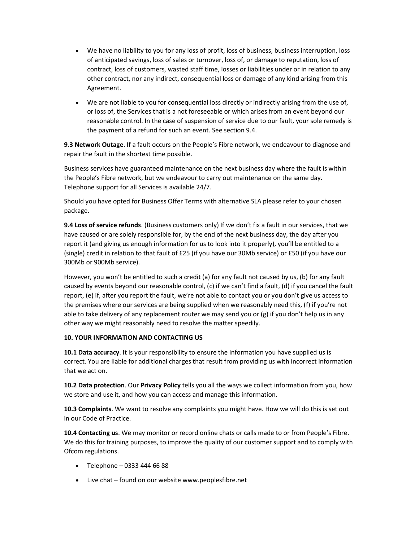- We have no liability to you for any loss of profit, loss of business, business interruption, loss of anticipated savings, loss of sales or turnover, loss of, or damage to reputation, loss of contract, loss of customers, wasted staff time, losses or liabilities under or in relation to any other contract, nor any indirect, consequential loss or damage of any kind arising from this Agreement.
- We are not liable to you for consequential loss directly or indirectly arising from the use of, or loss of, the Services that is a not foreseeable or which arises from an event beyond our reasonable control. In the case of suspension of service due to our fault, your sole remedy is the payment of a refund for such an event. See section 9.4.

9.3 Network Outage. If a fault occurs on the People's Fibre network, we endeavour to diagnose and repair the fault in the shortest time possible.

Business services have guaranteed maintenance on the next business day where the fault is within the People's Fibre network, but we endeavour to carry out maintenance on the same day. Telephone support for all Services is available 24/7.

Should you have opted for Business Offer Terms with alternative SLA please refer to your chosen package.

9.4 Loss of service refunds. (Business customers only) If we don't fix a fault in our services, that we have caused or are solely responsible for, by the end of the next business day, the day after you report it (and giving us enough information for us to look into it properly), you'll be entitled to a (single) credit in relation to that fault of £25 (if you have our 30Mb service) or £50 (if you have our 300Mb or 900Mb service).

However, you won't be entitled to such a credit (a) for any fault not caused by us, (b) for any fault caused by events beyond our reasonable control, (c) if we can't find a fault, (d) if you cancel the fault report, (e) if, after you report the fault, we're not able to contact you or you don't give us access to the premises where our services are being supplied when we reasonably need this, (f) if you're not able to take delivery of any replacement router we may send you or (g) if you don't help us in any other way we might reasonably need to resolve the matter speedily.

## 10. YOUR INFORMATION AND CONTACTING US

10.1 Data accuracy. It is your responsibility to ensure the information you have supplied us is correct. You are liable for additional charges that result from providing us with incorrect information that we act on.

10.2 Data protection. Our Privacy Policy tells you all the ways we collect information from you, how we store and use it, and how you can access and manage this information.

10.3 Complaints. We want to resolve any complaints you might have. How we will do this is set out in our Code of Practice.

10.4 Contacting us. We may monitor or record online chats or calls made to or from People's Fibre. We do this for training purposes, to improve the quality of our customer support and to comply with Ofcom regulations.

- $\bullet$  Telephone 0333 444 66 88
- Live chat found on our website www.peoplesfibre.net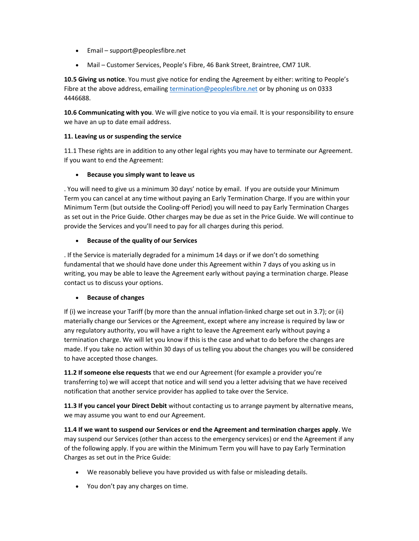- Email support@peoplesfibre.net
- Mail Customer Services, People's Fibre, 46 Bank Street, Braintree, CM7 1UR.

10.5 Giving us notice. You must give notice for ending the Agreement by either: writing to People's Fibre at the above address, emailing termination@peoplesfibre.net or by phoning us on 0333 4446688.

10.6 Communicating with you. We will give notice to you via email. It is your responsibility to ensure we have an up to date email address.

# 11. Leaving us or suspending the service

11.1 These rights are in addition to any other legal rights you may have to terminate our Agreement. If you want to end the Agreement:

# • Because you simply want to leave us

. You will need to give us a minimum 30 days' notice by email. If you are outside your Minimum Term you can cancel at any time without paying an Early Termination Charge. If you are within your Minimum Term (but outside the Cooling-off Period) you will need to pay Early Termination Charges as set out in the Price Guide. Other charges may be due as set in the Price Guide. We will continue to provide the Services and you'll need to pay for all charges during this period.

# Because of the quality of our Services

. If the Service is materially degraded for a minimum 14 days or if we don't do something fundamental that we should have done under this Agreement within 7 days of you asking us in writing, you may be able to leave the Agreement early without paying a termination charge. Please contact us to discuss your options.

## Because of changes

If (i) we increase your Tariff (by more than the annual inflation-linked charge set out in 3.7); or (ii) materially change our Services or the Agreement, except where any increase is required by law or any regulatory authority, you will have a right to leave the Agreement early without paying a termination charge. We will let you know if this is the case and what to do before the changes are made. If you take no action within 30 days of us telling you about the changes you will be considered to have accepted those changes.

11.2 If someone else requests that we end our Agreement (for example a provider you're transferring to) we will accept that notice and will send you a letter advising that we have received notification that another service provider has applied to take over the Service.

11.3 If you cancel your Direct Debit without contacting us to arrange payment by alternative means, we may assume you want to end our Agreement.

11.4 If we want to suspend our Services or end the Agreement and termination charges apply. We may suspend our Services (other than access to the emergency services) or end the Agreement if any of the following apply. If you are within the Minimum Term you will have to pay Early Termination Charges as set out in the Price Guide:

- We reasonably believe you have provided us with false or misleading details.
- You don't pay any charges on time.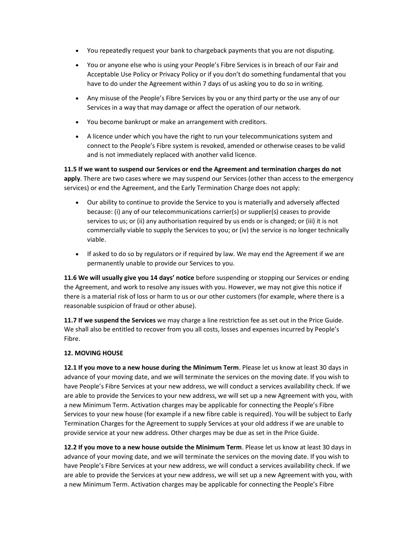- You repeatedly request your bank to chargeback payments that you are not disputing.
- You or anyone else who is using your People's Fibre Services is in breach of our Fair and Acceptable Use Policy or Privacy Policy or if you don't do something fundamental that you have to do under the Agreement within 7 days of us asking you to do so in writing.
- Any misuse of the People's Fibre Services by you or any third party or the use any of our Services in a way that may damage or affect the operation of our network.
- You become bankrupt or make an arrangement with creditors.
- A licence under which you have the right to run your telecommunications system and connect to the People's Fibre system is revoked, amended or otherwise ceases to be valid and is not immediately replaced with another valid licence.

11.5 If we want to suspend our Services or end the Agreement and termination charges do not apply. There are two cases where we may suspend our Services (other than access to the emergency services) or end the Agreement, and the Early Termination Charge does not apply:

- Our ability to continue to provide the Service to you is materially and adversely affected because: (i) any of our telecommunications carrier(s) or supplier(s) ceases to provide services to us; or (ii) any authorisation required by us ends or is changed; or (iii) it is not commercially viable to supply the Services to you; or (iv) the service is no longer technically viable.
- If asked to do so by regulators or if required by law. We may end the Agreement if we are permanently unable to provide our Services to you.

11.6 We will usually give you 14 days' notice before suspending or stopping our Services or ending the Agreement, and work to resolve any issues with you. However, we may not give this notice if there is a material risk of loss or harm to us or our other customers (for example, where there is a reasonable suspicion of fraud or other abuse).

11.7 If we suspend the Services we may charge a line restriction fee as set out in the Price Guide. We shall also be entitled to recover from you all costs, losses and expenses incurred by People's Fibre.

# 12. MOVING HOUSE

12.1 If you move to a new house during the Minimum Term. Please let us know at least 30 days in advance of your moving date, and we will terminate the services on the moving date. If you wish to have People's Fibre Services at your new address, we will conduct a services availability check. If we are able to provide the Services to your new address, we will set up a new Agreement with you, with a new Minimum Term. Activation charges may be applicable for connecting the People's Fibre Services to your new house (for example if a new fibre cable is required). You will be subject to Early Termination Charges for the Agreement to supply Services at your old address if we are unable to provide service at your new address. Other charges may be due as set in the Price Guide.

12.2 If you move to a new house outside the Minimum Term. Please let us know at least 30 days in advance of your moving date, and we will terminate the services on the moving date. If you wish to have People's Fibre Services at your new address, we will conduct a services availability check. If we are able to provide the Services at your new address, we will set up a new Agreement with you, with a new Minimum Term. Activation charges may be applicable for connecting the People's Fibre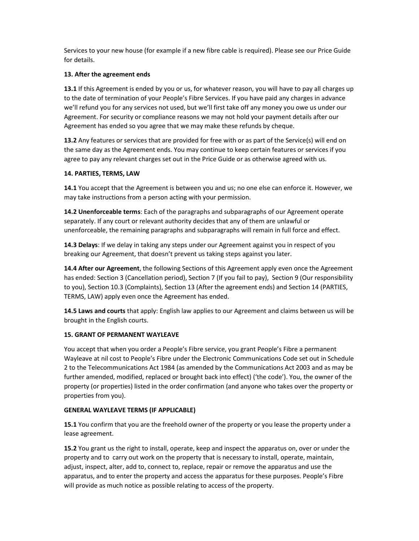Services to your new house (for example if a new fibre cable is required). Please see our Price Guide for details.

## 13. After the agreement ends

13.1 If this Agreement is ended by you or us, for whatever reason, you will have to pay all charges up to the date of termination of your People's Fibre Services. If you have paid any charges in advance we'll refund you for any services not used, but we'll first take off any money you owe us under our Agreement. For security or compliance reasons we may not hold your payment details after our Agreement has ended so you agree that we may make these refunds by cheque.

13.2 Any features or services that are provided for free with or as part of the Service(s) will end on the same day as the Agreement ends. You may continue to keep certain features or services if you agree to pay any relevant charges set out in the Price Guide or as otherwise agreed with us.

# 14. PARTIES, TERMS, LAW

14.1 You accept that the Agreement is between you and us; no one else can enforce it. However, we may take instructions from a person acting with your permission.

14.2 Unenforceable terms: Each of the paragraphs and subparagraphs of our Agreement operate separately. If any court or relevant authority decides that any of them are unlawful or unenforceable, the remaining paragraphs and subparagraphs will remain in full force and effect.

14.3 Delays: If we delay in taking any steps under our Agreement against you in respect of you breaking our Agreement, that doesn't prevent us taking steps against you later.

14.4 After our Agreement, the following Sections of this Agreement apply even once the Agreement has ended: Section 3 (Cancellation period), Section 7 (If you fail to pay), Section 9 (Our responsibility to you), Section 10.3 (Complaints), Section 13 (After the agreement ends) and Section 14 (PARTIES, TERMS, LAW) apply even once the Agreement has ended.

14.5 Laws and courts that apply: English law applies to our Agreement and claims between us will be brought in the English courts.

# 15. GRANT OF PERMANENT WAYLEAVE

You accept that when you order a People's Fibre service, you grant People's Fibre a permanent Wayleave at nil cost to People's Fibre under the Electronic Communications Code set out in Schedule 2 to the Telecommunications Act 1984 (as amended by the Communications Act 2003 and as may be further amended, modified, replaced or brought back into effect) ('the code'). You, the owner of the property (or properties) listed in the order confirmation (and anyone who takes over the property or properties from you).

## GENERAL WAYLEAVE TERMS (IF APPLICABLE)

15.1 You confirm that you are the freehold owner of the property or you lease the property under a lease agreement.

15.2 You grant us the right to install, operate, keep and inspect the apparatus on, over or under the property and to carry out work on the property that is necessary to install, operate, maintain, adjust, inspect, alter, add to, connect to, replace, repair or remove the apparatus and use the apparatus, and to enter the property and access the apparatus for these purposes. People's Fibre will provide as much notice as possible relating to access of the property.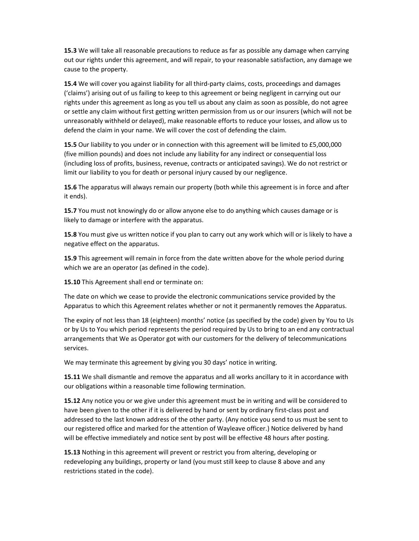**15.3** We will take all reasonable precautions to reduce as far as possible any damage when carrying out our rights under this agreement, and will repair, to your reasonable satisfaction, any damage we cause to the property.

15.4 We will cover you against liability for all third-party claims, costs, proceedings and damages ('claims') arising out of us failing to keep to this agreement or being negligent in carrying out our rights under this agreement as long as you tell us about any claim as soon as possible, do not agree or settle any claim without first getting written permission from us or our insurers (which will not be unreasonably withheld or delayed), make reasonable efforts to reduce your losses, and allow us to defend the claim in your name. We will cover the cost of defending the claim.

15.5 Our liability to you under or in connection with this agreement will be limited to £5,000,000 (five million pounds) and does not include any liability for any indirect or consequential loss (including loss of profits, business, revenue, contracts or anticipated savings). We do not restrict or limit our liability to you for death or personal injury caused by our negligence.

15.6 The apparatus will always remain our property (both while this agreement is in force and after it ends).

15.7 You must not knowingly do or allow anyone else to do anything which causes damage or is likely to damage or interfere with the apparatus.

15.8 You must give us written notice if you plan to carry out any work which will or is likely to have a negative effect on the apparatus.

15.9 This agreement will remain in force from the date written above for the whole period during which we are an operator (as defined in the code).

15.10 This Agreement shall end or terminate on:

The date on which we cease to provide the electronic communications service provided by the Apparatus to which this Agreement relates whether or not it permanently removes the Apparatus.

The expiry of not less than 18 (eighteen) months' notice (as specified by the code) given by You to Us or by Us to You which period represents the period required by Us to bring to an end any contractual arrangements that We as Operator got with our customers for the delivery of telecommunications services.

We may terminate this agreement by giving you 30 days' notice in writing.

15.11 We shall dismantle and remove the apparatus and all works ancillary to it in accordance with our obligations within a reasonable time following termination.

15.12 Any notice you or we give under this agreement must be in writing and will be considered to have been given to the other if it is delivered by hand or sent by ordinary first-class post and addressed to the last known address of the other party. (Any notice you send to us must be sent to our registered office and marked for the attention of Wayleave officer.) Notice delivered by hand will be effective immediately and notice sent by post will be effective 48 hours after posting.

15.13 Nothing in this agreement will prevent or restrict you from altering, developing or redeveloping any buildings, property or land (you must still keep to clause 8 above and any restrictions stated in the code).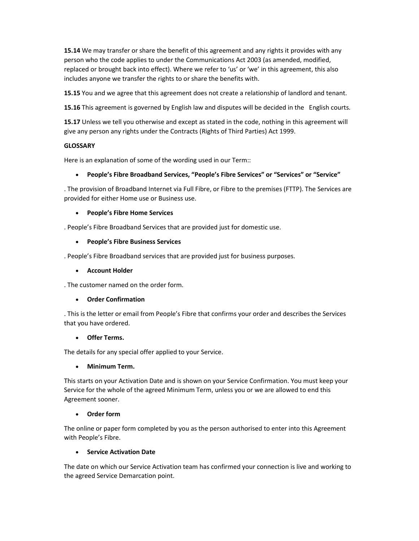15.14 We may transfer or share the benefit of this agreement and any rights it provides with any person who the code applies to under the Communications Act 2003 (as amended, modified, replaced or brought back into effect). Where we refer to 'us' or 'we' in this agreement, this also includes anyone we transfer the rights to or share the benefits with.

15.15 You and we agree that this agreement does not create a relationship of landlord and tenant.

15.16 This agreement is governed by English law and disputes will be decided in the English courts.

15.17 Unless we tell you otherwise and except as stated in the code, nothing in this agreement will give any person any rights under the Contracts (Rights of Third Parties) Act 1999.

# **GLOSSARY**

Here is an explanation of some of the wording used in our Term::

# People's Fibre Broadband Services, "People's Fibre Services" or "Services" or "Service"

. The provision of Broadband Internet via Full Fibre, or Fibre to the premises (FTTP). The Services are provided for either Home use or Business use.

# People's Fibre Home Services

. People's Fibre Broadband Services that are provided just for domestic use.

# People's Fibre Business Services

. People's Fibre Broadband services that are provided just for business purposes.

# Account Holder

. The customer named on the order form.

# Order Confirmation

. This is the letter or email from People's Fibre that confirms your order and describes the Services that you have ordered.

## Offer Terms.

The details for any special offer applied to your Service.

## Minimum Term.

This starts on your Activation Date and is shown on your Service Confirmation. You must keep your Service for the whole of the agreed Minimum Term, unless you or we are allowed to end this Agreement sooner.

# Order form

The online or paper form completed by you as the person authorised to enter into this Agreement with People's Fibre.

# Service Activation Date

The date on which our Service Activation team has confirmed your connection is live and working to the agreed Service Demarcation point.